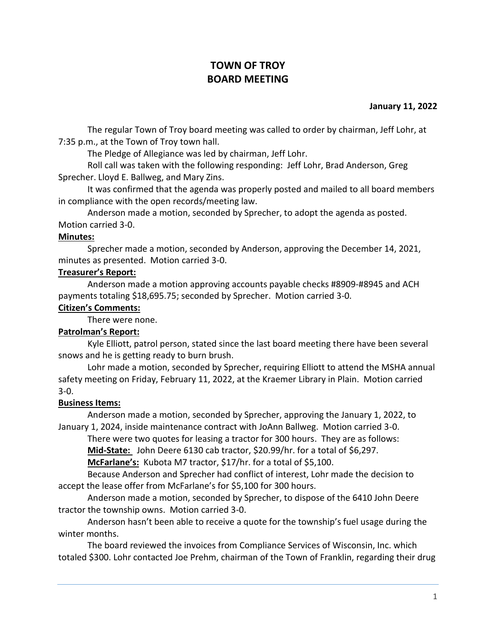# **TOWN OF TROY BOARD MEETING**

### **January 11, 2022**

The regular Town of Troy board meeting was called to order by chairman, Jeff Lohr, at 7:35 p.m., at the Town of Troy town hall.

The Pledge of Allegiance was led by chairman, Jeff Lohr.

Roll call was taken with the following responding: Jeff Lohr, Brad Anderson, Greg Sprecher. Lloyd E. Ballweg, and Mary Zins.

It was confirmed that the agenda was properly posted and mailed to all board members in compliance with the open records/meeting law.

Anderson made a motion, seconded by Sprecher, to adopt the agenda as posted. Motion carried 3-0.

### **Minutes:**

Sprecher made a motion, seconded by Anderson, approving the December 14, 2021, minutes as presented. Motion carried 3-0.

## **Treasurer's Report:**

Anderson made a motion approving accounts payable checks #8909-#8945 and ACH payments totaling \$18,695.75; seconded by Sprecher. Motion carried 3-0.

## **Citizen's Comments:**

There were none.

# **Patrolman's Report:**

Kyle Elliott, patrol person, stated since the last board meeting there have been several snows and he is getting ready to burn brush.

Lohr made a motion, seconded by Sprecher, requiring Elliott to attend the MSHA annual safety meeting on Friday, February 11, 2022, at the Kraemer Library in Plain. Motion carried 3-0.

# **Business Items:**

Anderson made a motion, seconded by Sprecher, approving the January 1, 2022, to January 1, 2024, inside maintenance contract with JoAnn Ballweg. Motion carried 3-0.

There were two quotes for leasing a tractor for 300 hours. They are as follows: **Mid-State:** John Deere 6130 cab tractor, \$20.99/hr. for a total of \$6,297.

**McFarlane's:** Kubota M7 tractor, \$17/hr. for a total of \$5,100.

Because Anderson and Sprecher had conflict of interest, Lohr made the decision to accept the lease offer from McFarlane's for \$5,100 for 300 hours.

Anderson made a motion, seconded by Sprecher, to dispose of the 6410 John Deere tractor the township owns. Motion carried 3-0.

Anderson hasn't been able to receive a quote for the township's fuel usage during the winter months.

The board reviewed the invoices from Compliance Services of Wisconsin, Inc. which totaled \$300. Lohr contacted Joe Prehm, chairman of the Town of Franklin, regarding their drug